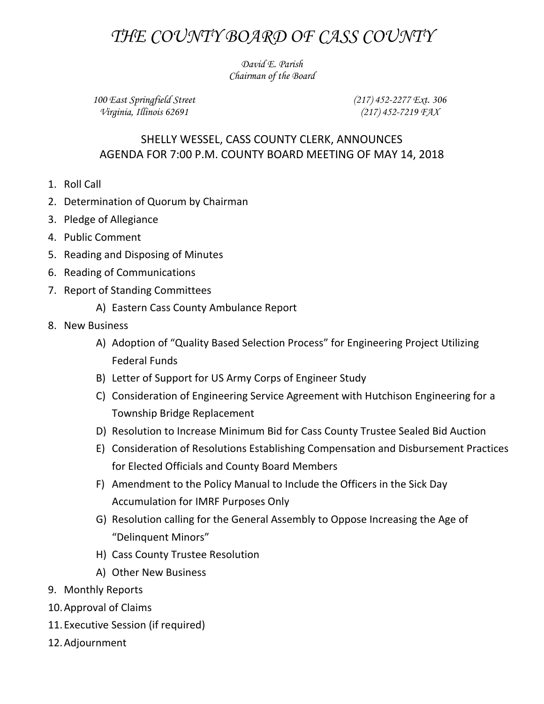## *THE COUNTY BOARD OF CASS COUNTY*

*David E. Parish Chairman of the Board*

*100 East Springfield Street Virginia, Illinois 62691*

*(217) 452-2277 Ext. 306 (217) 452-7219 FAX*

## SHELLY WESSEL, CASS COUNTY CLERK, ANNOUNCES AGENDA FOR 7:00 P.M. COUNTY BOARD MEETING OF MAY 14, 2018

- 1. Roll Call
- 2. Determination of Quorum by Chairman
- 3. Pledge of Allegiance
- 4. Public Comment
- 5. Reading and Disposing of Minutes
- 6. Reading of Communications
- 7. Report of Standing Committees
	- A) Eastern Cass County Ambulance Report
- 8. New Business
	- A) Adoption of "Quality Based Selection Process" for Engineering Project Utilizing Federal Funds
	- B) Letter of Support for US Army Corps of Engineer Study
	- C) Consideration of Engineering Service Agreement with Hutchison Engineering for a Township Bridge Replacement
	- D) Resolution to Increase Minimum Bid for Cass County Trustee Sealed Bid Auction
	- E) Consideration of Resolutions Establishing Compensation and Disbursement Practices for Elected Officials and County Board Members
	- F) Amendment to the Policy Manual to Include the Officers in the Sick Day Accumulation for IMRF Purposes Only
	- G) Resolution calling for the General Assembly to Oppose Increasing the Age of "Delinquent Minors"
	- H) Cass County Trustee Resolution
	- A) Other New Business
- 9. Monthly Reports
- 10.Approval of Claims
- 11.Executive Session (if required)
- 12.Adjournment